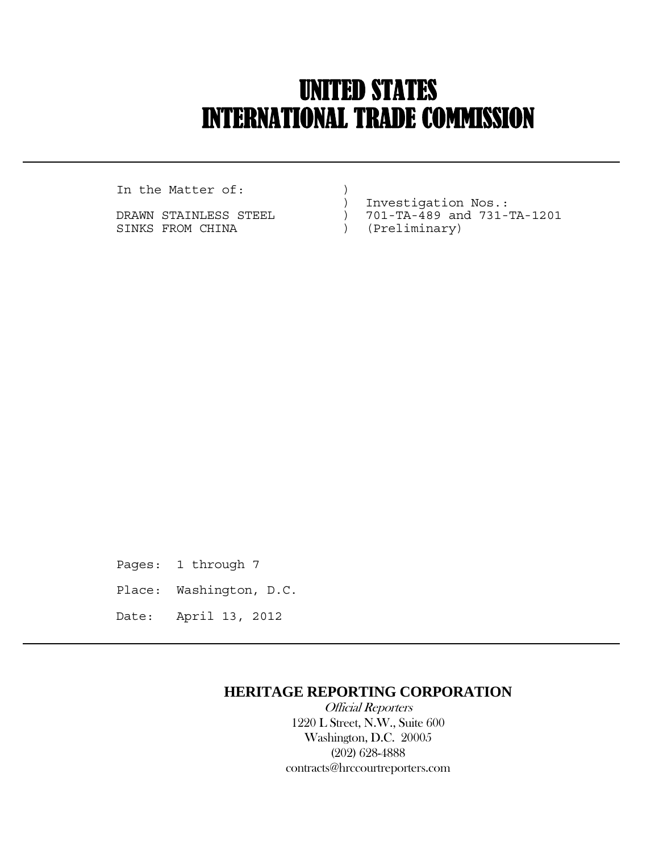# UNITED STATES INTERNATIONAL TRADE COMMISSION

In the Matter of:  $)$ 

 $\overline{a}$ 

SINKS FROM CHINA (Preliminary)

) Investigation Nos.:

- DRAWN STAINLESS STEEL ) 701-TA-489 and 731-TA-1201
	-

Pages: 1 through 7 Place: Washington, D.C. Date: April 13, 2012

## **HERITAGE REPORTING CORPORATION**

 Official Reporters 1220 L Street, N.W., Suite 600 Washington, D.C. 20005 (202) 628-4888 contracts@hrccourtreporters.com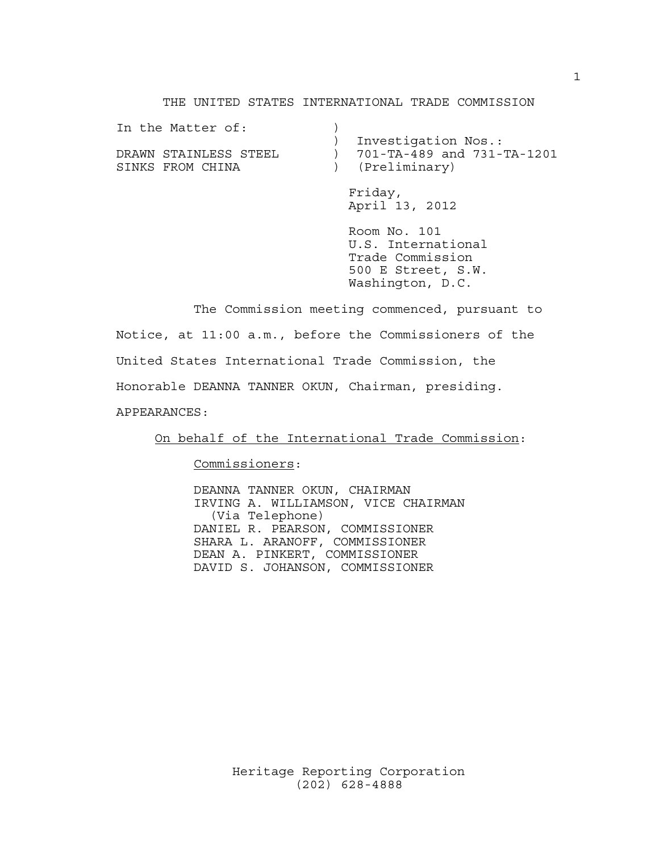### THE UNITED STATES INTERNATIONAL TRADE COMMISSION

| In the Matter of:<br>DRAWN STAINLESS STEEL<br>SINKS FROM CHINA | Investigation Nos.:<br>701-TA-489 and 731-TA-1201<br>(Preliminary)                               |
|----------------------------------------------------------------|--------------------------------------------------------------------------------------------------|
|                                                                | Friday,<br>April 13, 2012                                                                        |
|                                                                | Room No. 101<br>U.S. International<br>Trade Commission<br>500 E Street, S.W.<br>Washington, D.C. |

 The Commission meeting commenced, pursuant to Notice, at 11:00 a.m., before the Commissioners of the United States International Trade Commission, the Honorable DEANNA TANNER OKUN, Chairman, presiding. APPEARANCES:

On behalf of the International Trade Commission:

Commissioners:

 DEANNA TANNER OKUN, CHAIRMAN IRVING A. WILLIAMSON, VICE CHAIRMAN (Via Telephone) DANIEL R. PEARSON, COMMISSIONER SHARA L. ARANOFF, COMMISSIONER DEAN A. PINKERT, COMMISSIONER DAVID S. JOHANSON, COMMISSIONER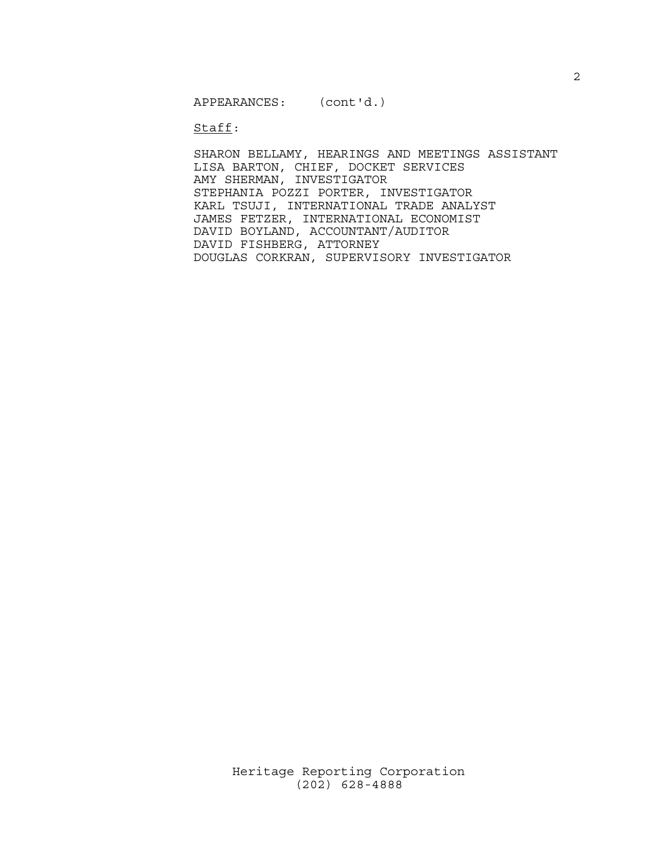Staff:

 SHARON BELLAMY, HEARINGS AND MEETINGS ASSISTANT LISA BARTON, CHIEF, DOCKET SERVICES AMY SHERMAN, INVESTIGATOR STEPHANIA POZZI PORTER, INVESTIGATOR KARL TSUJI, INTERNATIONAL TRADE ANALYST JAMES FETZER, INTERNATIONAL ECONOMIST DAVID BOYLAND, ACCOUNTANT/AUDITOR DAVID FISHBERG, ATTORNEY DOUGLAS CORKRAN, SUPERVISORY INVESTIGATOR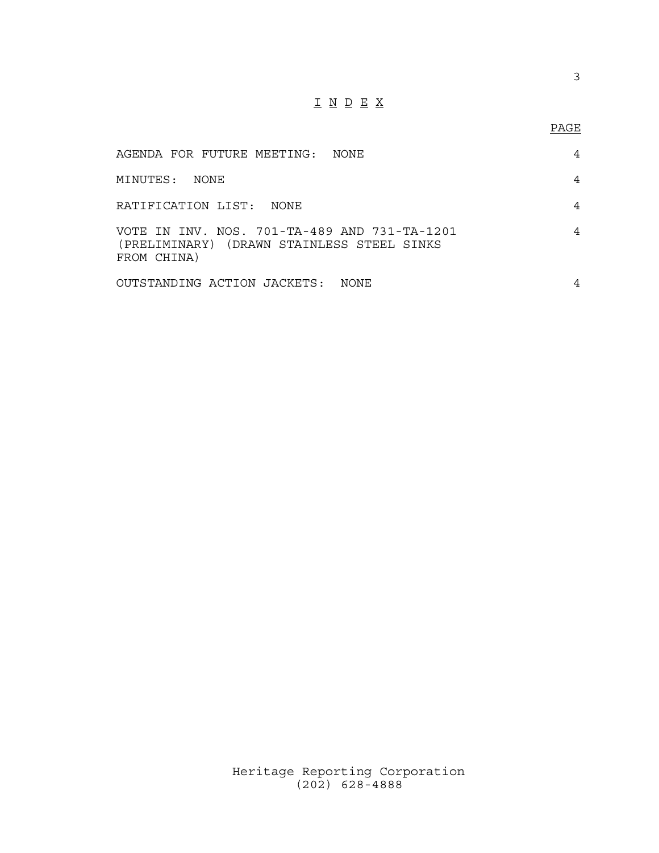# I N D E X

## PAGE

| AGENDA FOR FUTURE MEETING:<br>NONE.                                                                       | 4 |
|-----------------------------------------------------------------------------------------------------------|---|
| MINUTES: NONE                                                                                             |   |
| RATIFICATION LIST: NONE                                                                                   |   |
| VOTE IN INV. NOS. 701-TA-489 AND 731-TA-1201<br>(PRELIMINARY) (DRAWN STAINLESS STEEL SINKS<br>FROM CHINA) |   |
| OUTSTANDING ACTION JACKETS:<br>NONE.                                                                      |   |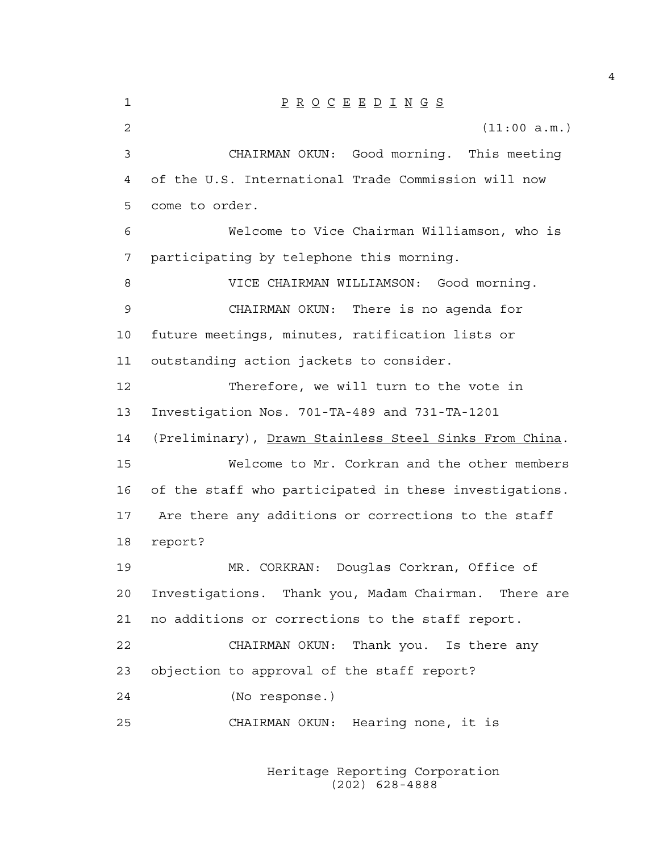1 P R O C E E D I N G S 2 (11:00 a.m.) 3 CHAIRMAN OKUN: Good morning. This meeting 4 of the U.S. International Trade Commission will now 5 come to order. 6 Welcome to Vice Chairman Williamson, who is 7 participating by telephone this morning. 8 VICE CHAIRMAN WILLIAMSON: Good morning. 9 CHAIRMAN OKUN: There is no agenda for 10 future meetings, minutes, ratification lists or 11 outstanding action jackets to consider. 12 Therefore, we will turn to the vote in 13 Investigation Nos. 701-TA-489 and 731-TA-1201 14 (Preliminary), Drawn Stainless Steel Sinks From China. 15 Welcome to Mr. Corkran and the other members 16 of the staff who participated in these investigations. 17 Are there any additions or corrections to the staff 18 report? 19 MR. CORKRAN: Douglas Corkran, Office of 20 Investigations. Thank you, Madam Chairman. There are 21 no additions or corrections to the staff report. 22 CHAIRMAN OKUN: Thank you. Is there any 23 objection to approval of the staff report? 24 (No response.) 25 CHAIRMAN OKUN: Hearing none, it is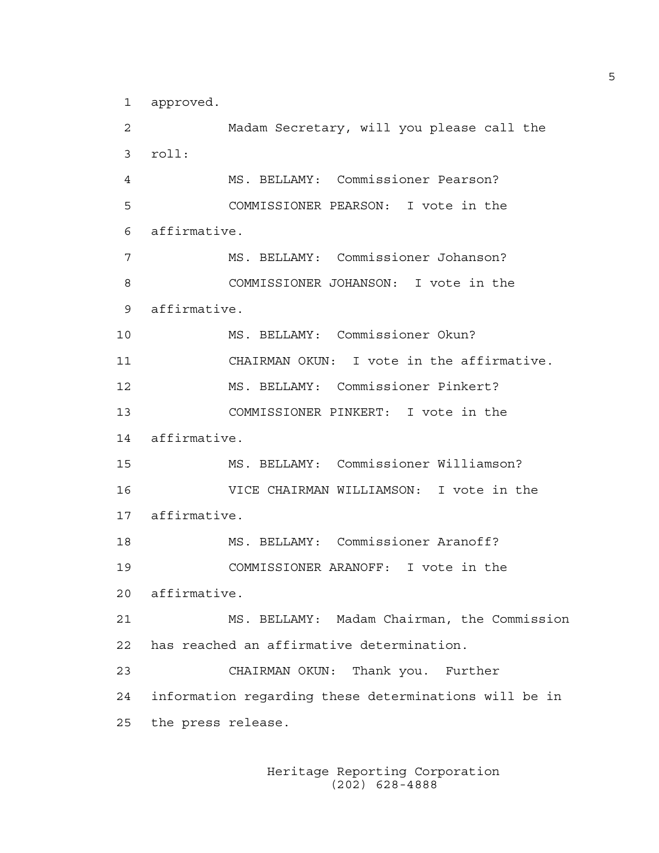1 approved.

2 Madam Secretary, will you please call the 3 roll: 4 MS. BELLAMY: Commissioner Pearson? 5 COMMISSIONER PEARSON: I vote in the 6 affirmative. 7 MS. BELLAMY: Commissioner Johanson? 8 COMMISSIONER JOHANSON: I vote in the 9 affirmative. 10 MS. BELLAMY: Commissioner Okun? 11 CHAIRMAN OKUN: I vote in the affirmative. 12 MS. BELLAMY: Commissioner Pinkert? 13 COMMISSIONER PINKERT: I vote in the 14 affirmative. 15 MS. BELLAMY: Commissioner Williamson? 16 VICE CHAIRMAN WILLIAMSON: I vote in the 17 affirmative. 18 MS. BELLAMY: Commissioner Aranoff? 19 COMMISSIONER ARANOFF: I vote in the 20 affirmative. 21 MS. BELLAMY: Madam Chairman, the Commission 22 has reached an affirmative determination. 23 CHAIRMAN OKUN: Thank you. Further 24 information regarding these determinations will be in 25 the press release.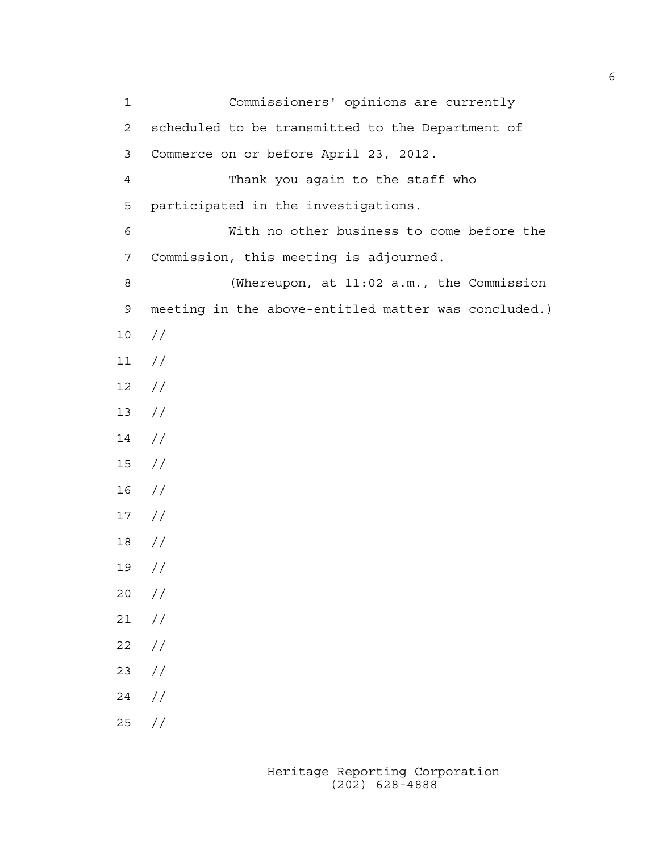1 Commissioners' opinions are currently 2 scheduled to be transmitted to the Department of 3 Commerce on or before April 23, 2012. 4 Thank you again to the staff who 5 participated in the investigations. 6 With no other business to come before the 7 Commission, this meeting is adjourned. 8 (Whereupon, at 11:02 a.m., the Commission 9 meeting in the above-entitled matter was concluded.) 10 // 11 // 12 // 13 // 14 // 15 //  $16$  // 17 // 18 // 19 // 20 // 21 //  $22 / /$ 23 //  $24 /$ 25 //